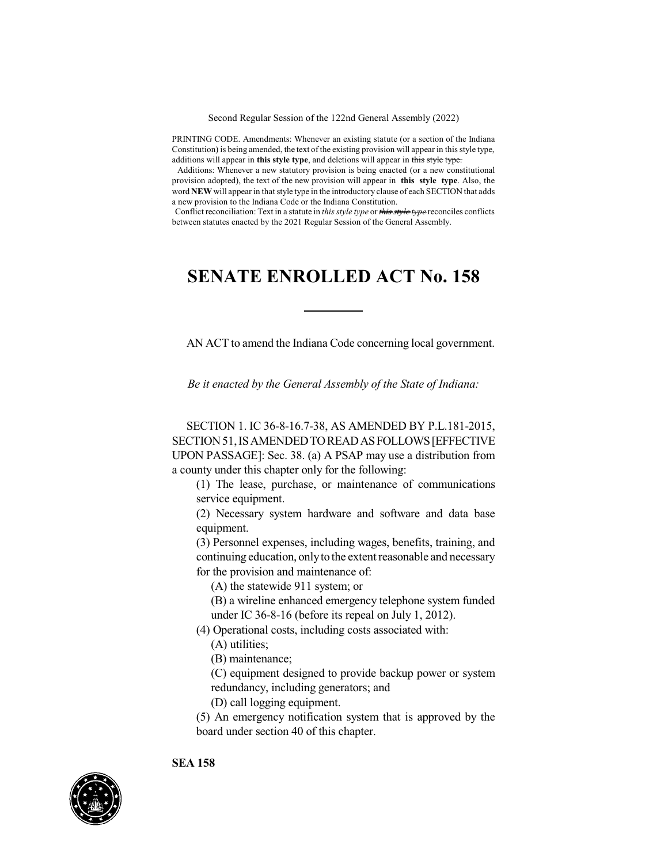Second Regular Session of the 122nd General Assembly (2022)

PRINTING CODE. Amendments: Whenever an existing statute (or a section of the Indiana Constitution) is being amended, the text of the existing provision will appear in this style type, additions will appear in **this style type**, and deletions will appear in this style type.

Additions: Whenever a new statutory provision is being enacted (or a new constitutional provision adopted), the text of the new provision will appear in **this style type**. Also, the word **NEW** will appear in that style type in the introductory clause of each SECTION that adds a new provision to the Indiana Code or the Indiana Constitution.

Conflict reconciliation: Text in a statute in *this style type* or *this style type* reconciles conflicts between statutes enacted by the 2021 Regular Session of the General Assembly.

## **SENATE ENROLLED ACT No. 158**

AN ACT to amend the Indiana Code concerning local government.

*Be it enacted by the General Assembly of the State of Indiana:*

SECTION 1. IC 36-8-16.7-38, AS AMENDED BY P.L.181-2015, SECTION51,ISAMENDEDTOREADASFOLLOWS[EFFECTIVE UPON PASSAGE]: Sec. 38. (a) A PSAP may use a distribution from a county under this chapter only for the following:

(1) The lease, purchase, or maintenance of communications service equipment.

(2) Necessary system hardware and software and data base equipment.

(3) Personnel expenses, including wages, benefits, training, and continuing education, only to the extent reasonable and necessary for the provision and maintenance of:

- (A) the statewide 911 system; or
- (B) a wireline enhanced emergency telephone system funded under IC 36-8-16 (before its repeal on July 1, 2012).
- (4) Operational costs, including costs associated with:
	- (A) utilities;
	- (B) maintenance;
	- (C) equipment designed to provide backup power or system redundancy, including generators; and

(D) call logging equipment.

(5) An emergency notification system that is approved by the board under section 40 of this chapter.

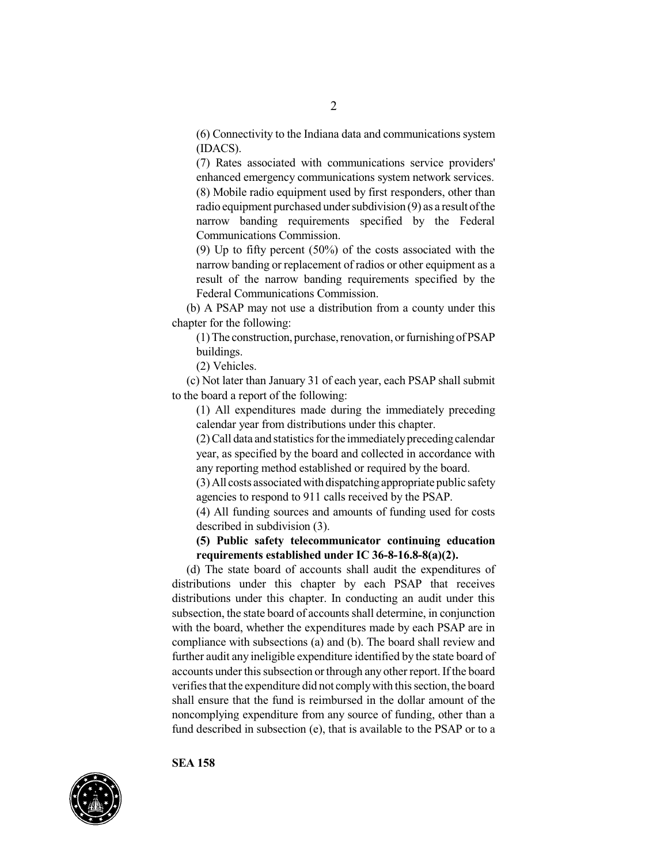(6) Connectivity to the Indiana data and communications system (IDACS).

(7) Rates associated with communications service providers' enhanced emergency communications system network services. (8) Mobile radio equipment used by first responders, other than radio equipment purchased under subdivision (9) as a result of the narrow banding requirements specified by the Federal Communications Commission.

(9) Up to fifty percent (50%) of the costs associated with the narrow banding or replacement of radios or other equipment as a result of the narrow banding requirements specified by the Federal Communications Commission.

(b) A PSAP may not use a distribution from a county under this chapter for the following:

 $(1)$ The construction, purchase, renovation, or furnishing of PSAP buildings.

(2) Vehicles.

(c) Not later than January 31 of each year, each PSAP shall submit to the board a report of the following:

(1) All expenditures made during the immediately preceding calendar year from distributions under this chapter.

 $(2)$  Call data and statistics for the immediately preceding calendar year, as specified by the board and collected in accordance with any reporting method established or required by the board.

(3)All costs associatedwith dispatchingappropriate public safety agencies to respond to 911 calls received by the PSAP.

(4) All funding sources and amounts of funding used for costs described in subdivision (3).

**(5) Public safety telecommunicator continuing education requirements established under IC 36-8-16.8-8(a)(2).**

(d) The state board of accounts shall audit the expenditures of distributions under this chapter by each PSAP that receives distributions under this chapter. In conducting an audit under this subsection, the state board of accounts shall determine, in conjunction with the board, whether the expenditures made by each PSAP are in compliance with subsections (a) and (b). The board shall review and further audit any ineligible expenditure identified by the state board of accounts under this subsection or through any other report. If the board verifies that the expenditure did not comply with this section, the board shall ensure that the fund is reimbursed in the dollar amount of the noncomplying expenditure from any source of funding, other than a fund described in subsection (e), that is available to the PSAP or to a

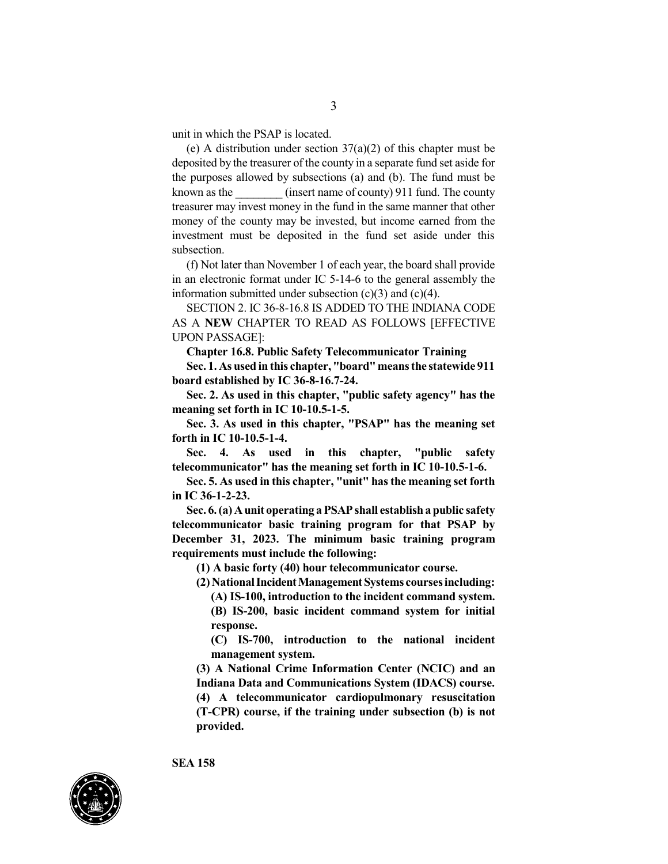unit in which the PSAP is located.

(e) A distribution under section  $37(a)(2)$  of this chapter must be deposited by the treasurer of the county in a separate fund set aside for the purposes allowed by subsections (a) and (b). The fund must be known as the  $(insert name of country) 911 fund. The country$ treasurer may invest money in the fund in the same manner that other money of the county may be invested, but income earned from the investment must be deposited in the fund set aside under this subsection.

(f) Not later than November 1 of each year, the board shall provide in an electronic format under IC 5-14-6 to the general assembly the information submitted under subsection  $(c)(3)$  and  $(c)(4)$ .

SECTION 2. IC 36-8-16.8 IS ADDED TO THE INDIANA CODE AS A **NEW** CHAPTER TO READ AS FOLLOWS [EFFECTIVE UPON PASSAGE]:

**Chapter 16.8. Public Safety Telecommunicator Training**

**Sec. 1. As used in this chapter, "board"meansthe statewide 911 board established by IC 36-8-16.7-24.**

**Sec. 2. As used in this chapter, "public safety agency" has the meaning set forth in IC 10-10.5-1-5.**

**Sec. 3. As used in this chapter, "PSAP" has the meaning set forth in IC 10-10.5-1-4.**

**Sec. 4. As used in this chapter, "public safety telecommunicator" has the meaning set forth in IC 10-10.5-1-6.**

**Sec. 5. As used in this chapter, "unit" hasthe meaning set forth in IC 36-1-2-23.**

**Sec. 6.(a) Aunit operating aPSAPshall establisha public safety telecommunicator basic training program for that PSAP by December 31, 2023. The minimum basic training program requirements must include the following:**

**(1) A basic forty (40) hour telecommunicator course.**

**(2)NationalIncidentManagementSystems coursesincluding:**

**(A) IS-100, introduction to the incident command system. (B) IS-200, basic incident command system for initial response.**

**(C) IS-700, introduction to the national incident management system.**

**(3) A National Crime Information Center (NCIC) and an Indiana Data and Communications System (IDACS) course. (4) A telecommunicator cardiopulmonary resuscitation (T-CPR) course, if the training under subsection (b) is not provided.**

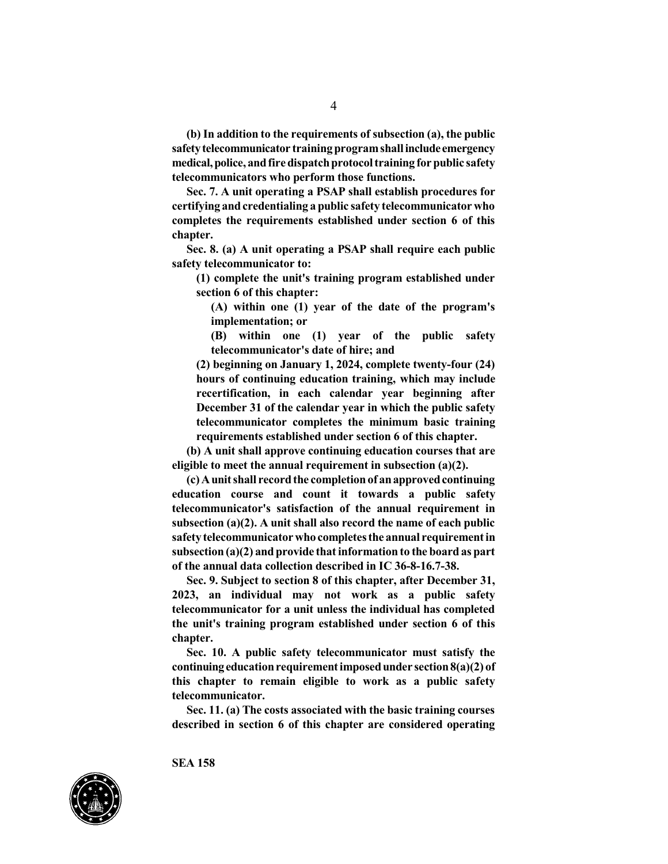**(b) In addition to the requirements of subsection (a), the public safetytelecommunicator trainingprogramshallinclude emergency medical,police, andfiredispatchprotocoltraining forpublic safety telecommunicators who perform those functions.**

**Sec. 7. A unit operating a PSAP shall establish procedures for certifying andcredentialing a public safety telecommunicator who completes the requirements established under section 6 of this chapter.**

**Sec. 8. (a) A unit operating a PSAP shall require each public safety telecommunicator to:**

**(1) complete the unit's training program established under section 6 of this chapter:**

**(A) within one (1) year of the date of the program's implementation; or**

**(B) within one (1) year of the public safety telecommunicator's date of hire; and**

**(2) beginning on January 1, 2024, complete twenty-four (24) hours of continuing education training, which may include recertification, in each calendar year beginning after December 31 of the calendar year in which the public safety telecommunicator completes the minimum basic training requirements established under section 6 of this chapter.**

**(b) A unit shall approve continuing education courses that are eligible to meet the annual requirement in subsection (a)(2).**

**(c)Aunitshall recordthe completionof anapprovedcontinuing education course and count it towards a public safety telecommunicator's satisfaction of the annual requirement in subsection (a)(2). A unit shall also record the name of each public safety telecommunicatorwho completesthe annual requirementin subsection (a)(2) and provide thatinformation to the board as part of the annual data collection described in IC 36-8-16.7-38.**

**Sec. 9. Subject to section 8 of this chapter, after December 31, 2023, an individual may not work as a public safety telecommunicator for a unit unless the individual has completed the unit's training program established under section 6 of this chapter.**

**Sec. 10. A public safety telecommunicator must satisfy the continuingeducationrequirementimposedunder section8(a)(2) of this chapter to remain eligible to work as a public safety telecommunicator.**

**Sec. 11. (a) The costs associated with the basic training courses described in section 6 of this chapter are considered operating**

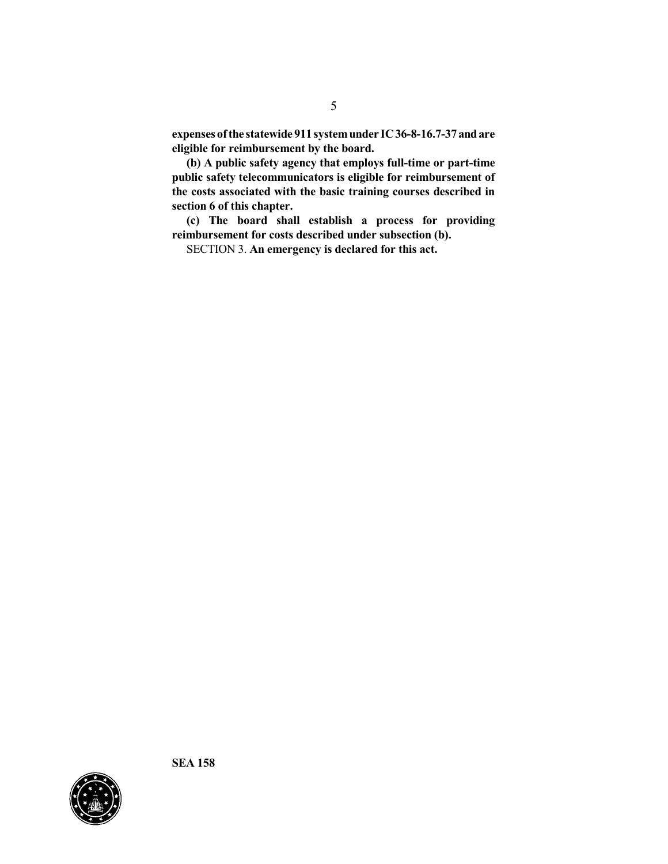**expenses ofthe statewide 911 systemunder IC36-8-16.7-37andare eligible for reimbursement by the board.**

**(b) A public safety agency that employs full-time or part-time public safety telecommunicators is eligible for reimbursement of the costs associated with the basic training courses described in section 6 of this chapter.**

**(c) The board shall establish a process for providing reimbursement for costs described under subsection (b).**

SECTION 3. **An emergency is declared for this act.**